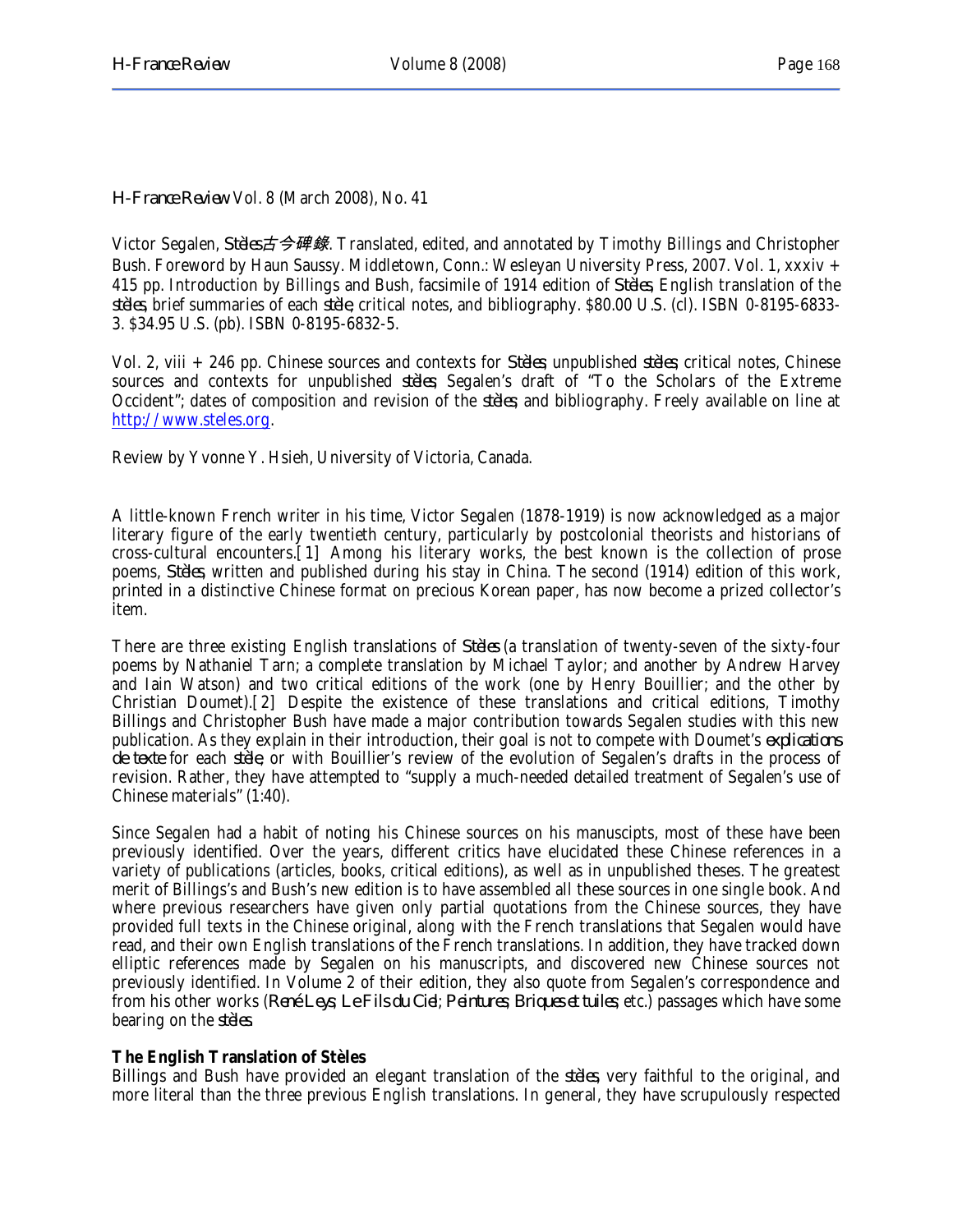*H-France Review* Vol. 8 (March 2008), No. 41

Victor Segalen, *Stèles古今碑錄*. Translated, edited, and annotated by Timothy Billings and Christopher Bush. Foreword by Haun Saussy. Middletown, Conn.: Wesleyan University Press, 2007. Vol. 1, xxxiv + 415 pp. Introduction by Billings and Bush, facsimile of 1914 edition of *Stèles*, English translation of the *stèles*, brief summaries of each *stèle*, critical notes, and bibliography. \$80.00 U.S. (cl). ISBN 0-8195-6833- 3. \$34.95 U.S. (pb). ISBN 0-8195-6832-5.

Vol. 2, viii + 246 pp. Chinese sources and contexts for *Stèles*; unpublished *stèles*; critical notes, Chinese sources and contexts for unpublished *stèles*; Segalen's draft of "To the Scholars of the Extreme Occident"; dates of composition and revision of the *stèles*; and bibliography. Freely available on line at http://www.steles.org.

Review by Yvonne Y. Hsieh, University of Victoria, Canada.

A little-known French writer in his time, Victor Segalen (1878-1919) is now acknowledged as a major literary figure of the early twentieth century, particularly by postcolonial theorists and historians of cross-cultural encounters.[1] Among his literary works, the best known is the collection of prose poems, *Stèles*, written and published during his stay in China. The second (1914) edition of this work, printed in a distinctive Chinese format on precious Korean paper, has now become a prized collector's item.

There are three existing English translations of *Stèles* (a translation of twenty-seven of the sixty-four poems by Nathaniel Tarn; a complete translation by Michael Taylor; and another by Andrew Harvey and Iain Watson) and two critical editions of the work (one by Henry Bouillier; and the other by Christian Doumet).[2] Despite the existence of these translations and critical editions, Timothy Billings and Christopher Bush have made a major contribution towards Segalen studies with this new publication. As they explain in their introduction, their goal is not to compete with Doumet's *explications de texte* for each *stèle*, or with Bouillier's review of the evolution of Segalen's drafts in the process of revision. Rather, they have attempted to "supply a much-needed detailed treatment of Segalen's use of Chinese materials" (1:40).

Since Segalen had a habit of noting his Chinese sources on his manuscipts, most of these have been previously identified. Over the years, different critics have elucidated these Chinese references in a variety of publications (articles, books, critical editions), as well as in unpublished theses. The greatest merit of Billings's and Bush's new edition is to have assembled all these sources in one single book. And where previous researchers have given only partial quotations from the Chinese sources, they have provided full texts in the Chinese original, along with the French translations that Segalen would have read, and their own English translations of the French translations. In addition, they have tracked down elliptic references made by Segalen on his manuscripts, and discovered new Chinese sources not previously identified. In Volume 2 of their edition, they also quote from Segalen's correspondence and from his other works (*René Leys*; *Le Fils du Ciel*; *Peintures*; *Briques et tuiles*; etc.) passages which have some bearing on the *stèles*.

# **The English Translation of** *Stèles*

Billings and Bush have provided an elegant translation of the *stèles*, very faithful to the original, and more literal than the three previous English translations. In general, they have scrupulously respected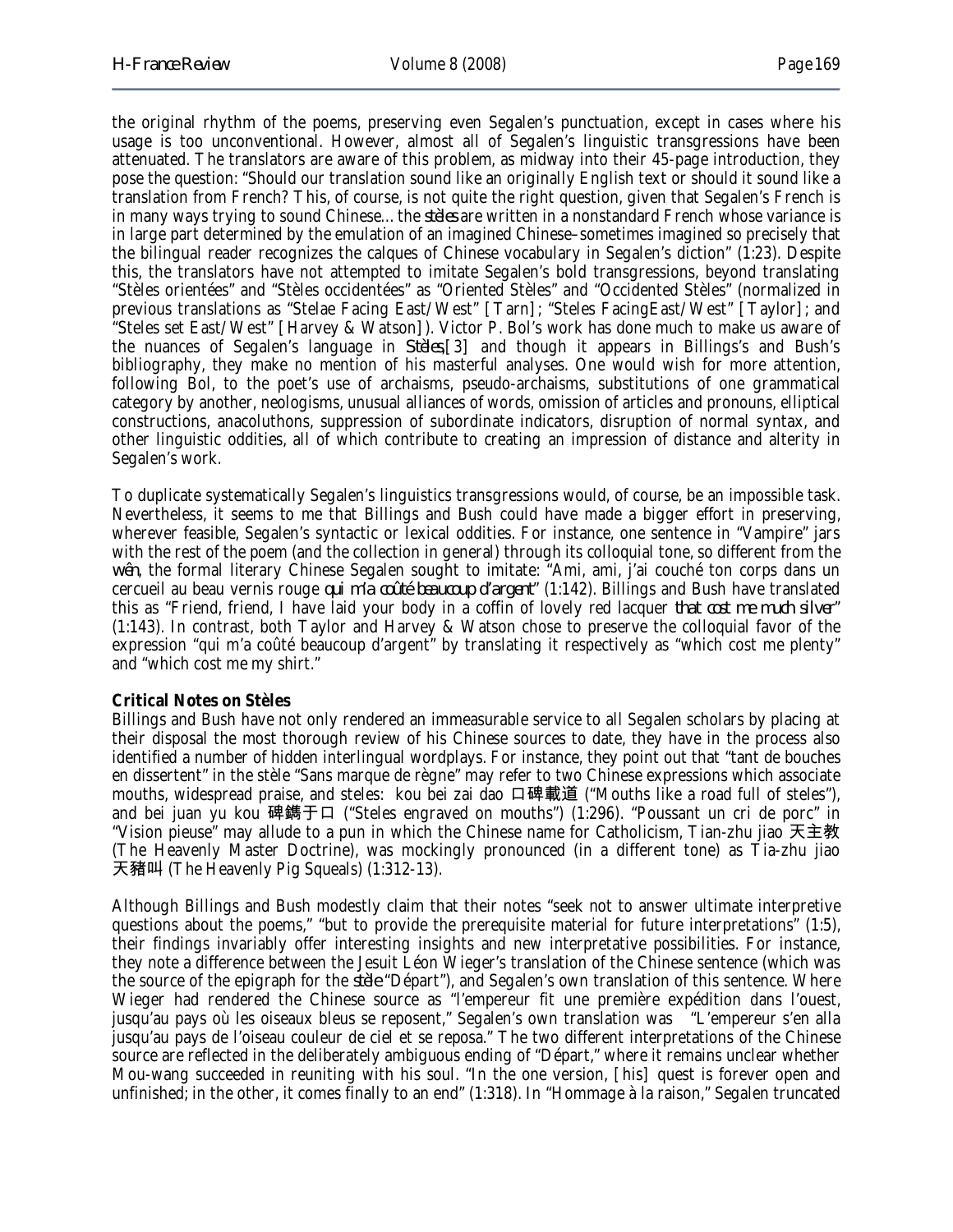the original rhythm of the poems, preserving even Segalen's punctuation, except in cases where his usage is too unconventional. However, almost all of Segalen's linguistic transgressions have been attenuated. The translators are aware of this problem, as midway into their 45-page introduction, they pose the question: "Should our translation sound like an originally English text or should it sound like a translation from French? This, of course, is not quite the right question, given that Segalen's French is in many ways trying to sound Chinese…the *stèles* are written in a nonstandard French whose variance is in large part determined by the emulation of an imagined Chinese–sometimes imagined so precisely that the bilingual reader recognizes the calques of Chinese vocabulary in Segalen's diction" (1:23). Despite this, the translators have not attempted to imitate Segalen's bold transgressions, beyond translating "Stèles orientées" and "Stèles occidentées" as "Oriented Stèles" and "Occidented Stèles" (normalized in previous translations as "Stelae Facing East/West" [Tarn]; "Steles FacingEast/West" [Taylor]; and "Steles set East/West" [Harvey & Watson]). Victor P. Bol's work has done much to make us aware of the nuances of Segalen's language in *Stèles*,[3] and though it appears in Billings's and Bush's bibliography, they make no mention of his masterful analyses. One would wish for more attention, following Bol, to the poet's use of archaisms, pseudo-archaisms, substitutions of one grammatical category by another, neologisms, unusual alliances of words, omission of articles and pronouns, elliptical constructions, anacoluthons, suppression of subordinate indicators, disruption of normal syntax, and other linguistic oddities, all of which contribute to creating an impression of distance and alterity in Segalen's work.

To duplicate systematically Segalen's linguistics transgressions would, of course, be an impossible task. Nevertheless, it seems to me that Billings and Bush could have made a bigger effort in preserving, wherever feasible, Segalen's syntactic or lexical oddities. For instance, one sentence in "Vampire" jars with the rest of the poem (and the collection in general) through its colloquial tone, so different from the *wên*, the formal literary Chinese Segalen sought to imitate: "Ami, ami, j'ai couché ton corps dans un cercueil au beau vernis rouge *qui m'a coûté beaucoup d'argent*" (1:142). Billings and Bush have translated this as "Friend, friend, I have laid your body in a coffin of lovely red lacquer *that cost me much silver*" (1:143). In contrast, both Taylor and Harvey & Watson chose to preserve the colloquial favor of the expression "qui m'a coûté beaucoup d'argent" by translating it respectively as "which cost me plenty" and "which cost me my shirt."

# **Critical Notes on** *Stèles*

Billings and Bush have not only rendered an immeasurable service to all Segalen scholars by placing at their disposal the most thorough review of his Chinese sources to date, they have in the process also identified a number of hidden interlingual wordplays. For instance, they point out that "tant de bouches en dissertent" in the stèle "Sans marque de règne" may refer to two Chinese expressions which associate mouths, widespread praise, and steles: kou bei zai dao 口碑載道 ("Mouths like a road full of steles"), and bei juan yu kou 碑鐫于口 ("Steles engraved on mouths") (1:296). "Poussant un cri de porc" in "Vision pieuse" may allude to a pun in which the Chinese name for Catholicism, Tian-zhu jiao 天主教 (The Heavenly Master Doctrine), was mockingly pronounced (in a different tone) as Tia-zhu jiao 天豬叫 (The Heavenly Pig Squeals) (1:312-13).

Although Billings and Bush modestly claim that their notes "seek not to answer ultimate interpretive questions about the poems," "but to provide the prerequisite material for future interpretations" (1:5), their findings invariably offer interesting insights and new interpretative possibilities. For instance, they note a difference between the Jesuit Léon Wieger's translation of the Chinese sentence (which was the source of the epigraph for the *stèle* "Départ"), and Segalen's own translation of this sentence. Where Wieger had rendered the Chinese source as "l'empereur fit une première expédition dans l'ouest, jusqu'au pays où les oiseaux bleus se reposent," Segalen's own translation was "L'empereur s'en alla jusqu'au pays de l'oiseau couleur de ciel et se reposa." The two different interpretations of the Chinese source are reflected in the deliberately ambiguous ending of "Départ," where it remains unclear whether Mou-wang succeeded in reuniting with his soul. "In the one version, [his] quest is forever open and unfinished; in the other, it comes finally to an end" (1:318). In "Hommage à la raison," Segalen truncated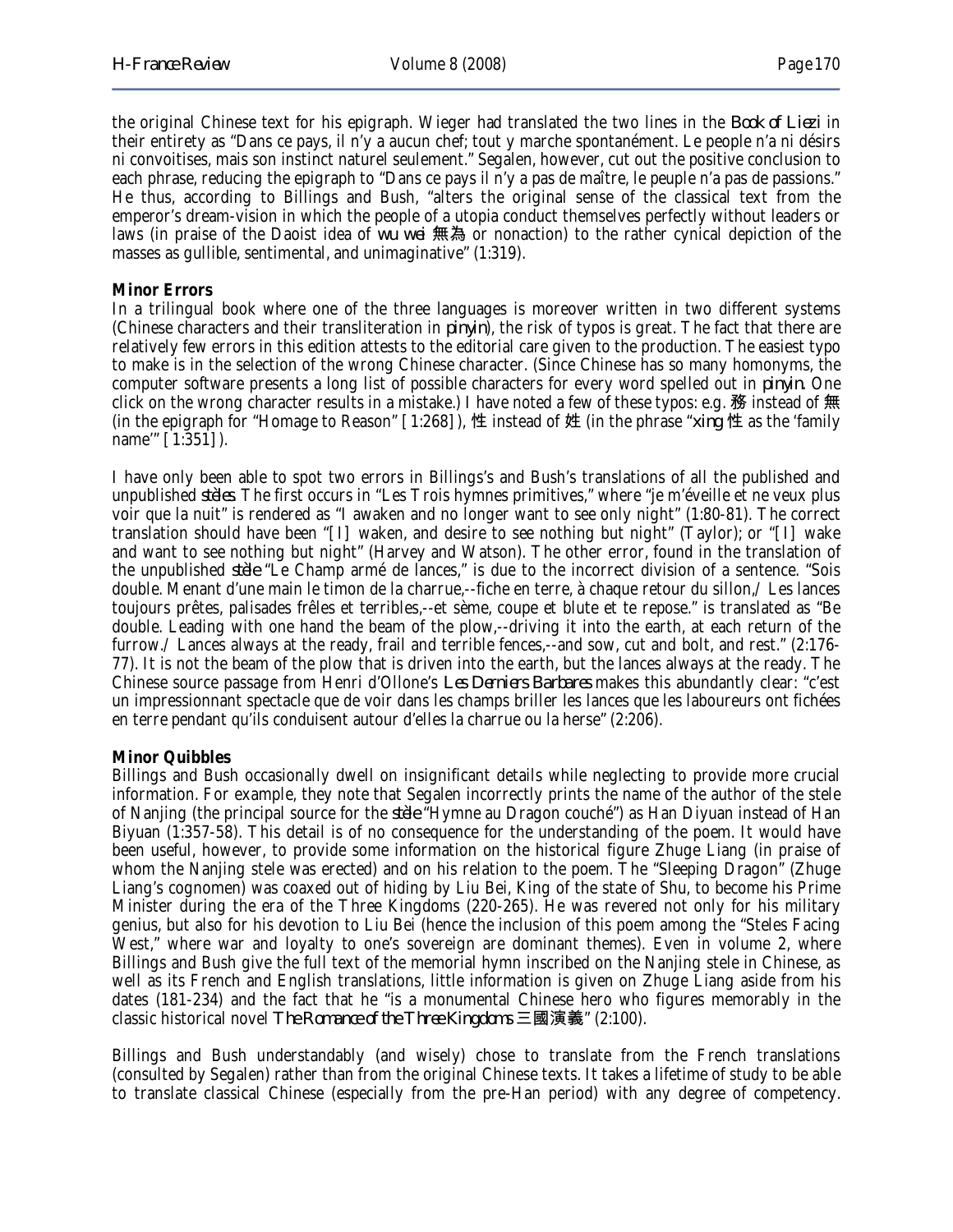the original Chinese text for his epigraph. Wieger had translated the two lines in the *Book of Liezi* in their entirety as "Dans ce pays, il n'y a aucun chef; tout y marche spontanément. Le people n'a ni désirs ni convoitises, mais son instinct naturel seulement." Segalen, however, cut out the positive conclusion to each phrase, reducing the epigraph to "Dans ce pays il n'y a pas de maître, le peuple n'a pas de passions." He thus, according to Billings and Bush, "alters the original sense of the classical text from the emperor's dream-vision in which the people of a utopia conduct themselves perfectly without leaders or laws (in praise of the Daoist idea of *wu wei* 無為 or nonaction) to the rather cynical depiction of the masses as gullible, sentimental, and unimaginative" (1:319).

#### **Minor Errors**

In a trilingual book where one of the three languages is moreover written in two different systems (Chinese characters and their transliteration in *pinyin*), the risk of typos is great. The fact that there are relatively few errors in this edition attests to the editorial care given to the production. The easiest typo to make is in the selection of the wrong Chinese character. (Since Chinese has so many homonyms, the computer software presents a long list of possible characters for every word spelled out in *pinyin*. One click on the wrong character results in a mistake.) I have noted a few of these typos: e.g. 務 instead of 無 (in the epigraph for "Homage to Reason" [1:268]), 性 instead of 姓 (in the phrase "*xing* 性 as the 'family name'" [1:351]).

I have only been able to spot two errors in Billings's and Bush's translations of all the published and unpublished *stèles*. The first occurs in "Les Trois hymnes primitives," where "je m'éveille et ne veux plus voir que la nuit" is rendered as "I awaken and no longer want to see only night" (1:80-81). The correct translation should have been "[I] waken, and desire to see nothing but night" (Taylor); or "[I] wake and want to see nothing but night" (Harvey and Watson). The other error, found in the translation of the unpublished *stèle* "Le Champ armé de lances," is due to the incorrect division of a sentence. "Sois double. Menant d'une main le timon de la charrue,--fiche en terre, à chaque retour du sillon,/ Les lances toujours prêtes, palisades frêles et terribles,--et sème, coupe et blute et te repose." is translated as "Be double. Leading with one hand the beam of the plow,--driving it into the earth, at each return of the furrow./ Lances always at the ready, frail and terrible fences,--and sow, cut and bolt, and rest." (2:176- 77). It is not the beam of the plow that is driven into the earth, but the lances always at the ready. The Chinese source passage from Henri d'Ollone's *Les Derniers Barbares* makes this abundantly clear: "c'est un impressionnant spectacle que de voir dans les champs briller les lances que les laboureurs ont fichées en terre pendant qu'ils conduisent autour d'elles la charrue ou la herse" (2:206).

# **Minor Quibbles**

Billings and Bush occasionally dwell on insignificant details while neglecting to provide more crucial information. For example, they note that Segalen incorrectly prints the name of the author of the stele of Nanjing (the principal source for the *stèle* "Hymne au Dragon couché") as Han Diyuan instead of Han Biyuan (1:357-58). This detail is of no consequence for the understanding of the poem. It would have been useful, however, to provide some information on the historical figure Zhuge Liang (in praise of whom the Nanjing stele was erected) and on his relation to the poem. The "Sleeping Dragon" (Zhuge Liang's cognomen) was coaxed out of hiding by Liu Bei, King of the state of Shu, to become his Prime Minister during the era of the Three Kingdoms (220-265). He was revered not only for his military genius, but also for his devotion to Liu Bei (hence the inclusion of this poem among the "Steles Facing West," where war and loyalty to one's sovereign are dominant themes). Even in volume 2, where Billings and Bush give the full text of the memorial hymn inscribed on the Nanjing stele in Chinese, as well as its French and English translations, little information is given on Zhuge Liang aside from his dates (181-234) and the fact that he "is a monumental Chinese hero who figures memorably in the classic historical novel *The Romance of the Three Kingdoms* 三國演義" (2:100).

Billings and Bush understandably (and wisely) chose to translate from the French translations (consulted by Segalen) rather than from the original Chinese texts. It takes a lifetime of study to be able to translate classical Chinese (especially from the pre-Han period) with any degree of competency.